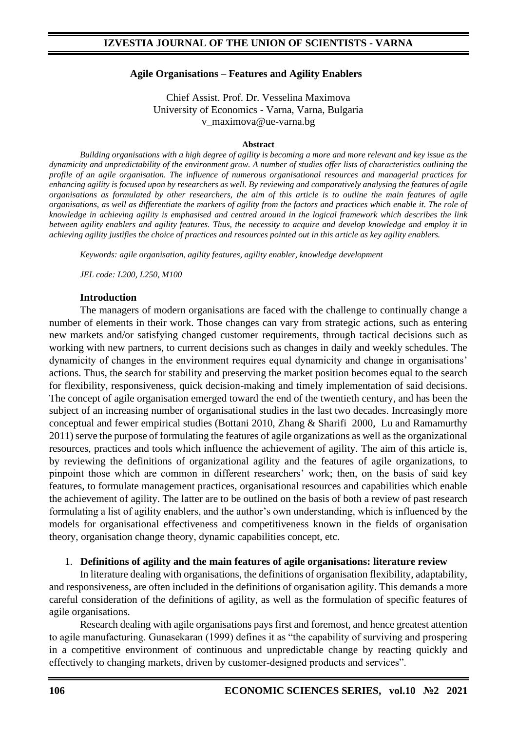#### **Agile Organisations – Features and Agility Enablers**

Chief Assist. Prof. Dr. Vesselina Maximova University of Economics - Varna, Varna, Bulgaria [v\\_maximova@ue-varna.bg](mailto:v_maximova@ue-varna.bg)

#### **Abstract**

*Building organisations with a high degree of agility is becoming a more and more relevant and key issue as the dynamicity and unpredictability of the environment grow. A number of studies offer lists of characteristics outlining the profile of an agile organisation. The influence of numerous organisational resources and managerial practices for enhancing agility is focused upon by researchers as well. By reviewing and comparatively analysing the features of agile organisations as formulated by other researchers, the aim of this article is to outline the main features of agile organisations, as well as differentiate the markers of agility from the factors and practices which enable it. The role of knowledge in achieving agility is emphasised and centred around in the logical framework which describes the link between agility enablers and agility features. Thus, the necessity to acquire and develop knowledge and employ it in achieving agility justifies the choice of practices and resources pointed out in this article as key agility enablers.* 

*Keywords: agile organisation, agility features, agility enabler, knowledge development*

*JEL code: L200, L250, M100*

#### **Introduction**

The managers of modern organisations are faced with the challenge to continually change a number of elements in their work. Those changes can vary from strategic actions, such as entering new markets and/or satisfying changed customer requirements, through tactical decisions such as working with new partners, to current decisions such as changes in daily and weekly schedules. The dynamicity of changes in the environment requires equal dynamicity and change in organisations' actions. Thus, the search for stability and preserving the market position becomes equal to the search for flexibility, responsiveness, quick decision-making and timely implementation of said decisions. The concept of agile organisation emerged toward the end of the twentieth century, and has been the subject of an increasing number of organisational studies in the last two decades. Increasingly more conceptual and fewer empirical studies (Bottani 2010, Zhang & Sharifi 2000, Lu and Ramamurthy 2011) serve the purpose of formulating the features of agile organizations as well as the organizational resources, practices and tools which influence the achievement of agility. The aim of this article is, by reviewing the definitions of organizational agility and the features of agile organizations, to pinpoint those which are common in different researchers' work; then, on the basis of said key features, to formulate management practices, organisational resources and capabilities which enable the achievement of agility. The latter are to be outlined on the basis of both a review of past research formulating a list of agility enablers, and the author's own understanding, which is influenced by the models for organisational effectiveness and competitiveness known in the fields of organisation theory, organisation change theory, dynamic capabilities concept, etc.

#### 1. **Definitions of agility and the main features of agile organisations: literature review**

In literature dealing with organisations, the definitions of organisation flexibility, adaptability, and responsiveness, are often included in the definitions of organisation agility. This demands a more careful consideration of the definitions of agility, as well as the formulation of specific features of agile organisations.

Research dealing with agile organisations pays first and foremost, and hence greatest attention to agile manufacturing. Gunasekaran (1999) defines it as "the capability of surviving and prospering in a competitive environment of continuous and unpredictable change by reacting quickly and effectively to changing markets, driven by customer-designed products and services".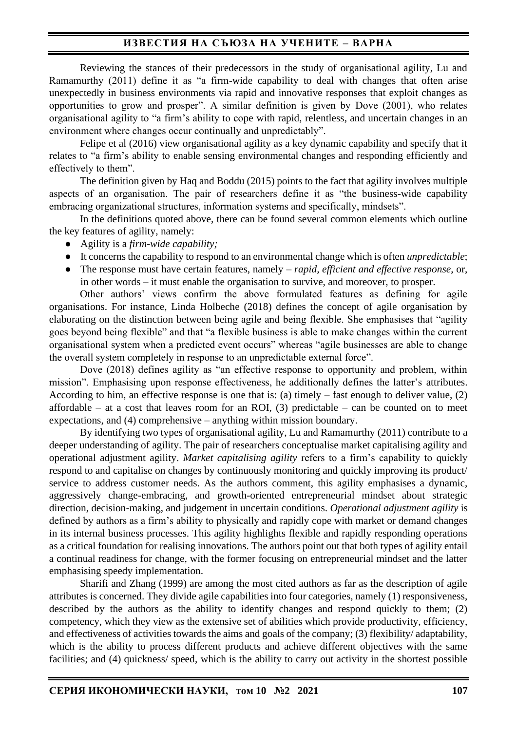Reviewing the stances of their predecessors in the study of organisational agility, Lu and Ramamurthy (2011) define it as "a firm-wide capability to deal with changes that often arise unexpectedly in business environments via rapid and innovative responses that exploit changes as opportunities to grow and prosper". A similar definition is given by Dove (2001), who relates organisational agility to "a firm's ability to cope with rapid, relentless, and uncertain changes in an environment where changes occur continually and unpredictably".

Felipe et al (2016) view organisational agility as a key dynamic capability and specify that it relates to "a firm's ability to enable sensing environmental changes and responding efficiently and effectively to them".

The definition given by Haq and Boddu (2015) points to the fact that agility involves multiple aspects of an organisation. The pair of researchers define it as "the business-wide capability embracing organizational structures, information systems and specifically, mindsets".

In the definitions quoted above, there can be found several common elements which outline the key features of agility, namely:

- Agility is a *firm-wide capability;*
- It concerns the capability to respond to an environmental change which is often *unpredictable*;
- The response must have certain features, namely *– rapid, efficient and effective response*, or, in other words – it must enable the organisation to survive, and moreover, to prosper.

Other authors' views confirm the above formulated features as defining for agile organisations. For instance, Linda Holbeche (2018) defines the concept of agile organisation by elaborating on the distinction between being agile and being flexible. She emphasises that "agility goes beyond being flexible" and that "a flexible business is able to make changes within the current organisational system when a predicted event occurs" whereas "agile businesses are able to change the overall system completely in response to an unpredictable external force".

Dove (2018) defines agility as "an effective response to opportunity and problem, within mission". Emphasising upon response effectiveness, he additionally defines the latter's attributes. According to him, an effective response is one that is: (a) timely – fast enough to deliver value, (2) affordable – at a cost that leaves room for an ROI,  $(3)$  predictable – can be counted on to meet expectations, and (4) comprehensive – anything within mission boundary.

By identifying two types of organisational agility, Lu and Ramamurthy (2011) contribute to a deeper understanding of agility. The pair of researchers conceptualise market capitalising agility and operational adjustment agility. *Market capitalising agility* refers to a firm's capability to quickly respond to and capitalise on changes by continuously monitoring and quickly improving its product/ service to address customer needs. As the authors comment, this agility emphasises a dynamic, aggressively change-embracing, and growth-oriented entrepreneurial mindset about strategic direction, decision-making, and judgement in uncertain conditions. *Operational adjustment agility* is defined by authors as a firm's ability to physically and rapidly cope with market or demand changes in its internal business processes. This agility highlights flexible and rapidly responding operations as a critical foundation for realising innovations. The authors point out that both types of agility entail a continual readiness for change, with the former focusing on entrepreneurial mindset and the latter emphasising speedy implementation.

Sharifi and Zhang (1999) are among the most cited authors as far as the description of agile attributes is concerned. They divide agile capabilities into four categories, namely (1) responsiveness, described by the authors as the ability to identify changes and respond quickly to them; (2) competency, which they view as the extensive set of abilities which provide productivity, efficiency, and effectiveness of activities towards the aims and goals of the company; (3) flexibility/ adaptability, which is the ability to process different products and achieve different objectives with the same facilities; and (4) quickness/ speed, which is the ability to carry out activity in the shortest possible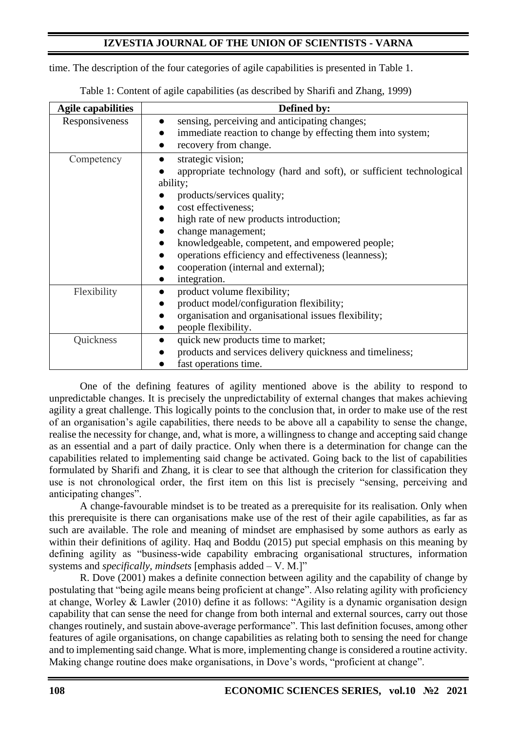time. The description of the four categories of agile capabilities is presented in Table 1.

| <b>Agile capabilities</b> | Defined by:                                                                                                                                                                                                                                                                                                                                                                                  |  |
|---------------------------|----------------------------------------------------------------------------------------------------------------------------------------------------------------------------------------------------------------------------------------------------------------------------------------------------------------------------------------------------------------------------------------------|--|
| Responsiveness            | sensing, perceiving and anticipating changes;<br>immediate reaction to change by effecting them into system;<br>recovery from change.                                                                                                                                                                                                                                                        |  |
| Competency                | strategic vision;<br>appropriate technology (hard and soft), or sufficient technological<br>ability;<br>products/services quality;<br>cost effectiveness;<br>high rate of new products introduction;<br>change management;<br>knowledgeable, competent, and empowered people;<br>operations efficiency and effectiveness (leanness);<br>cooperation (internal and external);<br>integration. |  |
| Flexibility               | product volume flexibility;<br>product model/configuration flexibility;<br>organisation and organisational issues flexibility;<br>people flexibility.                                                                                                                                                                                                                                        |  |
| Quickness                 | quick new products time to market;<br>products and services delivery quickness and timeliness;<br>fast operations time.                                                                                                                                                                                                                                                                      |  |

Table 1: Content of agile capabilities (as described by Sharifi and Zhang, 1999)

One of the defining features of agility mentioned above is the ability to respond to unpredictable changes. It is precisely the unpredictability of external changes that makes achieving agility a great challenge. This logically points to the conclusion that, in order to make use of the rest of an organisation's agile capabilities, there needs to be above all a capability to sense the change, realise the necessity for change, and, what is more, a willingness to change and accepting said change as an essential and a part of daily practice. Only when there is a determination for change can the capabilities related to implementing said change be activated. Going back to the list of capabilities formulated by Sharifi and Zhang, it is clear to see that although the criterion for classification they use is not chronological order, the first item on this list is precisely "sensing, perceiving and anticipating changes".

A change-favourable mindset is to be treated as a prerequisite for its realisation. Only when this prerequisite is there can organisations make use of the rest of their agile capabilities, as far as such are available. The role and meaning of mindset are emphasised by some authors as early as within their definitions of agility. Haq and Boddu (2015) put special emphasis on this meaning by defining agility as "business-wide capability embracing organisational structures, information systems and *specifically, mindsets* [emphasis added – V. M.]"

R. Dove (2001) makes a definite connection between agility and the capability of change by postulating that "being agile means being proficient at change". Also relating agility with proficiency at change, Worley & Lawler (2010) define it as follows: "Agility is a dynamic organisation design capability that can sense the need for change from both internal and external sources, carry out those changes routinely, and sustain above-average performance". This last definition focuses, among other features of agile organisations, on change capabilities as relating both to sensing the need for change and to implementing said change. What is more, implementing change is considered a routine activity. Making change routine does make organisations, in Dove's words, "proficient at change".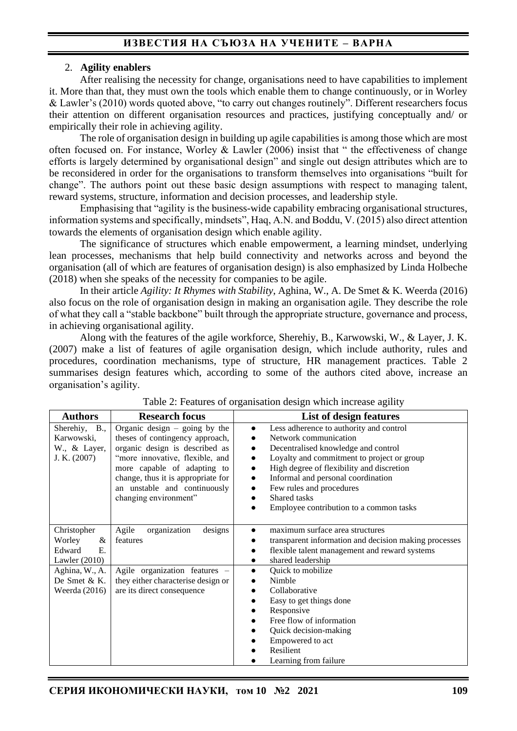#### 2. **Agility enablers**

After realising the necessity for change, organisations need to have capabilities to implement it. More than that, they must own the tools which enable them to change continuously, or in Worley & Lawler's (2010) words quoted above, "to carry out changes routinely". Different researchers focus their attention on different organisation resources and practices, justifying conceptually and/ or empirically their role in achieving agility.

The role of organisation design in building up agile capabilities is among those which are most often focused on. For instance, Worley & Lawler (2006) insist that " the effectiveness of change efforts is largely determined by organisational design" and single out design attributes which are to be reconsidered in order for the organisations to transform themselves into organisations "built for change". The authors point out these basic design assumptions with respect to managing talent, reward systems, structure, information and decision processes, and leadership style.

Emphasising that "agility is the business-wide capability embracing organisational structures, information systems and specifically, mindsets", Haq, A.N. and Boddu, V. (2015) also direct attention towards the elements of organisation design which enable agility.

The significance of structures which enable empowerment, a learning mindset, underlying lean processes, mechanisms that help build connectivity and networks across and beyond the organisation (all of which are features of organisation design) is also emphasized by Linda Holbeche (2018) when she speaks of the necessity for companies to be agile.

In their article *Agility: It Rhymes with Stability*, Aghina, W., A. De Smet & K. Weerda (2016) also focus on the role of organisation design in making an organisation agile. They describe the role of what they call a "stable backbone" built through the appropriate structure, governance and process, in achieving organisational agility.

Along with the features of the agile workforce, Sherehiy, B., Karwowski, W., & Layer, J. K. (2007) make a list of features of agile organisation design, which include authority, rules and procedures, coordination mechanisms, type of structure, HR management practices. Table 2 summarises design features which, according to some of the authors cited above, increase an organisation's agility.

| <b>Authors</b>                                                         | <b>Research focus</b>                                                                                                                                                                                                                                                 | List of design features                                                                                                                                                                                                                                                                                                                                                                                                                 |
|------------------------------------------------------------------------|-----------------------------------------------------------------------------------------------------------------------------------------------------------------------------------------------------------------------------------------------------------------------|-----------------------------------------------------------------------------------------------------------------------------------------------------------------------------------------------------------------------------------------------------------------------------------------------------------------------------------------------------------------------------------------------------------------------------------------|
| Sherehiy,<br>B.,<br>Karwowski,<br>W., & Layer,<br>J. K. $(2007)$       | Organic design $-$ going by the<br>theses of contingency approach,<br>organic design is described as<br>"more innovative, flexible, and<br>more capable of adapting to<br>change, thus it is appropriate for<br>an unstable and continuously<br>changing environment" | Less adherence to authority and control<br>$\bullet$<br>Network communication<br>Decentralised knowledge and control<br>$\bullet$<br>Loyalty and commitment to project or group<br>$\bullet$<br>High degree of flexibility and discretion<br>$\bullet$<br>Informal and personal coordination<br>$\bullet$<br>Few rules and procedures<br>$\bullet$<br>Shared tasks<br>$\bullet$<br>Employee contribution to a common tasks<br>$\bullet$ |
| Christopher<br>Worley<br>&<br>Edward<br>$E_{\rm c}$<br>Lawler $(2010)$ | organization<br>Agile<br>designs<br>features                                                                                                                                                                                                                          | maximum surface area structures<br>$\bullet$<br>transparent information and decision making processes<br>flexible talent management and reward systems<br>$\bullet$<br>shared leadership<br>$\bullet$                                                                                                                                                                                                                                   |
| Aghina, W., A.<br>De Smet & K.<br>Weerda $(2016)$                      | Agile organization features -<br>they either characterise design or<br>are its direct consequence                                                                                                                                                                     | Quick to mobilize<br>$\bullet$<br>Nimble<br>Collaborative<br>$\bullet$<br>Easy to get things done<br>Responsive<br>Free flow of information<br>Quick decision-making<br>Empowered to act<br>Resilient<br>Learning from failure                                                                                                                                                                                                          |

Table 2: Features of organisation design which increase agility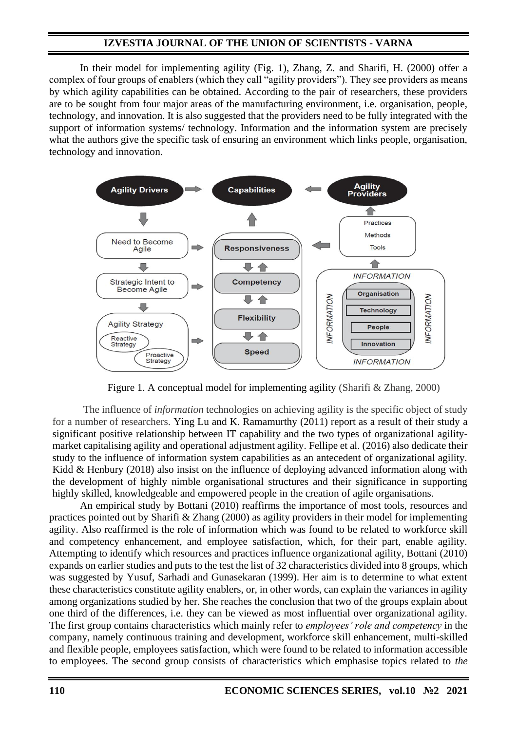In their model for implementing agility (Fig. 1), Zhang, Z. and Sharifi, H. (2000) offer a complex of four groups of enablers (which they call "agility providers"). They see providers as means by which agility capabilities can be obtained. According to the pair of researchers, these providers are to be sought from four major areas of the manufacturing environment, i.e. organisation, people, technology, and innovation. It is also suggested that the providers need to be fully integrated with the support of information systems/ technology. Information and the information system are precisely what the authors give the specific task of ensuring an environment which links people, organisation, technology and innovation.



Figure 1. A conceptual model for implementing agility (Sharifi & Zhang, 2000)

The influence of *information* technologies on achieving agility is the specific object of study for a number of researchers. Ying Lu and K. Ramamurthy (2011) report as a result of their study a significant positive relationship between IT capability and the two types of organizational agilitymarket capitalising agility and operational adjustment agility. Fellipe et al. (2016) also dedicate their study to the influence of information system capabilities as an antecedent of organizational agility. Kidd & Henbury (2018) also insist on the influence of deploying advanced information along with the development of highly nimble organisational structures and their significance in supporting highly skilled, knowledgeable and empowered people in the creation of agile organisations.

An empirical study by Bottani (2010) reaffirms the importance of most tools, resources and practices pointed out by Sharifi & Zhang (2000) as agility providers in their model for implementing agility. Also reaffirmed is the role of information which was found to be related to workforce skill and competency enhancement, and employee satisfaction, which, for their part, enable agility. Attempting to identify which resources and practices influence organizational agility, Bottani (2010) expands on earlier studies and puts to the test the list of 32 characteristics divided into 8 groups, which was suggested by Yusuf, Sarhadi and Gunasekaran (1999). Her aim is to determine to what extent these characteristics constitute agility enablers, or, in other words, can explain the variances in agility among organizations studied by her. She reaches the conclusion that two of the groups explain about one third of the differences, i.e. they can be viewed as most influential over organizational agility. The first group contains characteristics which mainly refer to *employees' role and competency* in the company, namely continuous training and development, workforce skill enhancement, multi-skilled and flexible people, employees satisfaction, which were found to be related to information accessible to employees. The second group consists of characteristics which emphasise topics related to *the*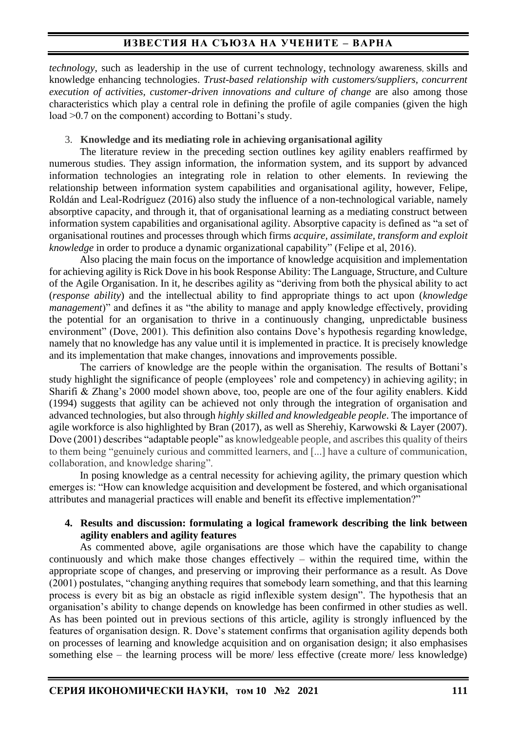*technology*, such as leadership in the use of current technology, technology awareness, skills and knowledge enhancing technologies. *Trust-based relationship with customers/suppliers, concurrent execution of activities, customer-driven innovations and culture of change* are also among those characteristics which play a central role in defining the profile of agile companies (given the high load >0.7 on the component) according to Bottani's study.

#### 3. **Knowledge and its mediating role in achieving organisational agility**

The literature review in the preceding section outlines key agility enablers reaffirmed by numerous studies. They assign information, the information system, and its support by advanced information technologies an integrating role in relation to other elements. In reviewing the relationship between information system capabilities and organisational agility, however, Felipe, Roldán and Leal-Rodríguez (2016) also study the influence of a non-technological variable, namely absorptive capacity, and through it, that of organisational learning as a mediating construct between information system capabilities and organisational agility. Absorptive capacity is defined as "a set of organisational routines and processes through which firms *acquire, assimilate, transform and exploit knowledge* in order to produce a dynamic organizational capability" (Felipe et al, 2016).

Also placing the main focus on the importance of knowledge acquisition and implementation for achieving agility is Rick Dove in his book Response Ability: The Language, Structure, and Culture of the Agile Organisation. In it, he describes agility as "deriving from both the physical ability to act (*response ability*) and the intellectual ability to find appropriate things to act upon (*knowledge management*)" and defines it as "the ability to manage and apply knowledge effectively, providing the potential for an organisation to thrive in a continuously changing, unpredictable business environment" (Dove, 2001). This definition also contains Dove's hypothesis regarding knowledge, namely that no knowledge has any value until it is implemented in practice. It is precisely knowledge and its implementation that make changes, innovations and improvements possible.

The carriers of knowledge are the people within the organisation. The results of Bottani's study highlight the significance of people (employees' role and competency) in achieving agility; in Sharifi & Zhang's 2000 model shown above, too, people are one of the four agility enablers. Kidd (1994) suggests that agility can be achieved not only through the integration of organisation and advanced technologies, but also through *highly skilled and knowledgeable people*. The importance of agile workforce is also highlighted by Bran (2017), as well as Sherehiy, Karwowski & Layer (2007). Dove (2001) describes "adaptable people" as knowledgeable people, and ascribes this quality of theirs to them being "genuinely curious and committed learners, and [...] have a culture of communication, collaboration, and knowledge sharing".

In posing knowledge as a central necessity for achieving agility, the primary question which emerges is: "How can knowledge acquisition and development be fostered, and which organisational attributes and managerial practices will enable and benefit its effective implementation?"

#### **4. Results and discussion: formulating a logical framework describing the link between agility enablers and agility features**

As commented above, agile organisations are those which have the capability to change continuously and which make those changes effectively – within the required time, within the appropriate scope of changes, and preserving or improving their performance as a result. As Dove (2001) postulates, "changing anything requires that somebody learn something, and that this learning process is every bit as big an obstacle as rigid inflexible system design". The hypothesis that an organisation's ability to change depends on knowledge has been confirmed in other studies as well. As has been pointed out in previous sections of this article, agility is strongly influenced by the features of organisation design. R. Dove's statement confirms that organisation agility depends both on processes of learning and knowledge acquisition and on organisation design; it also emphasises something else – the learning process will be more/ less effective (create more/ less knowledge)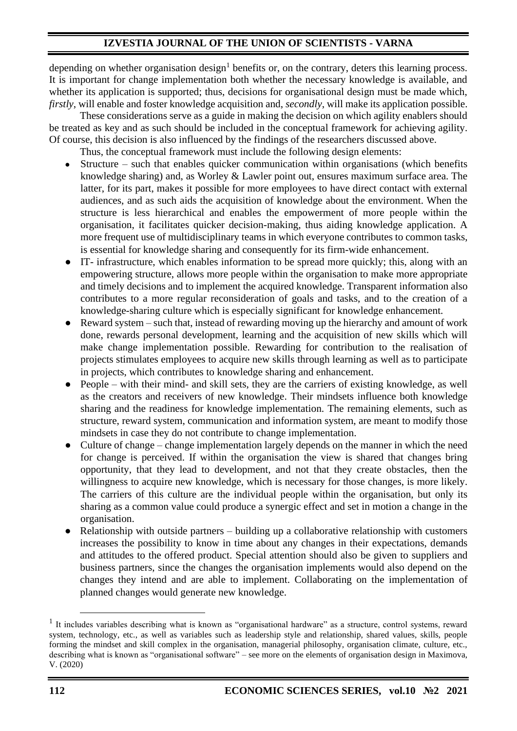depending on whether organisation design<sup>1</sup> benefits or, on the contrary, deters this learning process. It is important for change implementation both whether the necessary knowledge is available, and whether its application is supported; thus, decisions for organisational design must be made which, *firstly*, will enable and foster knowledge acquisition and, *secondly*, will make its application possible.

These considerations serve as a guide in making the decision on which agility enablers should be treated as key and as such should be included in the conceptual framework for achieving agility. Of course, this decision is also influenced by the findings of the researchers discussed above.

Thus, the conceptual framework must include the following design elements:

- Structure such that enables quicker communication within organisations (which benefits knowledge sharing) and, as Worley & Lawler point out, ensures maximum surface area. The latter, for its part, makes it possible for more employees to have direct contact with external audiences, and as such aids the acquisition of knowledge about the environment. When the structure is less hierarchical and enables the empowerment of more people within the organisation, it facilitates quicker decision-making, thus aiding knowledge application. A more frequent use of multidisciplinary teams in which everyone contributes to common tasks, is essential for knowledge sharing and consequently for its firm-wide enhancement.
- IT- infrastructure, which enables information to be spread more quickly; this, along with an empowering structure, allows more people within the organisation to make more appropriate and timely decisions and to implement the acquired knowledge. Transparent information also contributes to a more regular reconsideration of goals and tasks, and to the creation of a knowledge-sharing culture which is especially significant for knowledge enhancement.
- Reward system such that, instead of rewarding moving up the hierarchy and amount of work done, rewards personal development, learning and the acquisition of new skills which will make change implementation possible. Rewarding for contribution to the realisation of projects stimulates employees to acquire new skills through learning as well as to participate in projects, which contributes to knowledge sharing and enhancement.
- People with their mind- and skill sets, they are the carriers of existing knowledge, as well as the creators and receivers of new knowledge. Their mindsets influence both knowledge sharing and the readiness for knowledge implementation. The remaining elements, such as structure, reward system, communication and information system, are meant to modify those mindsets in case they do not contribute to change implementation.
- Culture of change change implementation largely depends on the manner in which the need for change is perceived. If within the organisation the view is shared that changes bring opportunity, that they lead to development, and not that they create obstacles, then the willingness to acquire new knowledge, which is necessary for those changes, is more likely. The carriers of this culture are the individual people within the organisation, but only its sharing as a common value could produce a synergic effect and set in motion a change in the organisation.
- Relationship with outside partners building up a collaborative relationship with customers increases the possibility to know in time about any changes in their expectations, demands and attitudes to the offered product. Special attention should also be given to suppliers and business partners, since the changes the organisation implements would also depend on the changes they intend and are able to implement. Collaborating on the implementation of planned changes would generate new knowledge.

<sup>&</sup>lt;sup>1</sup> It includes variables describing what is known as "organisational hardware" as a structure, control systems, reward system, technology, etc., as well as variables such as leadership style and relationship, shared values, skills, people forming the mindset and skill complex in the organisation, managerial philosophy, organisation climate, culture, etc., describing what is known as "organisational software" – see more on the elements of organisation design in Maximova, V. (2020)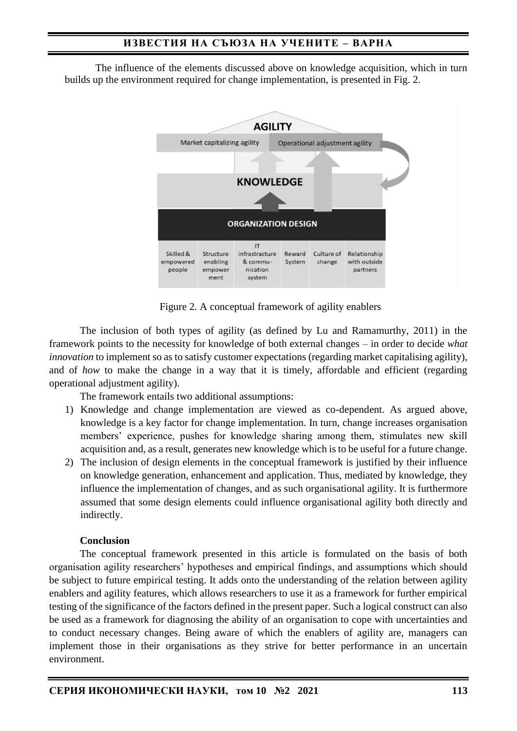The influence of the elements discussed above on knowledge acquisition, which in turn builds up the environment required for change implementation, is presented in Fig. 2.



Figure 2. A conceptual framework of agility enablers

The inclusion of both types of agility (as defined by Lu and Ramamurthy, 2011) in the framework points to the necessity for knowledge of both external changes – in order to decide *what innovation* to implement so as to satisfy customer expectations (regarding market capitalising agility), and of *how* to make the change in a way that it is timely, affordable and efficient (regarding operational adjustment agility).

The framework entails two additional assumptions:

- 1) Knowledge and change implementation are viewed as co-dependent. As argued above, knowledge is a key factor for change implementation. In turn, change increases organisation members' experience, pushes for knowledge sharing among them, stimulates new skill acquisition and, as a result, generates new knowledge which is to be useful for a future change.
- 2) The inclusion of design elements in the conceptual framework is justified by their influence on knowledge generation, enhancement and application. Thus, mediated by knowledge, they influence the implementation of changes, and as such organisational agility. It is furthermore assumed that some design elements could influence organisational agility both directly and indirectly.

### **Conclusion**

The conceptual framework presented in this article is formulated on the basis of both organisation agility researchers' hypotheses and empirical findings, and assumptions which should be subject to future empirical testing. It adds onto the understanding of the relation between agility enablers and agility features, which allows researchers to use it as a framework for further empirical testing of the significance of the factors defined in the present paper. Such a logical construct can also be used as a framework for diagnosing the ability of an organisation to cope with uncertainties and to conduct necessary changes. Being aware of which the enablers of agility are, managers can implement those in their organisations as they strive for better performance in an uncertain environment.